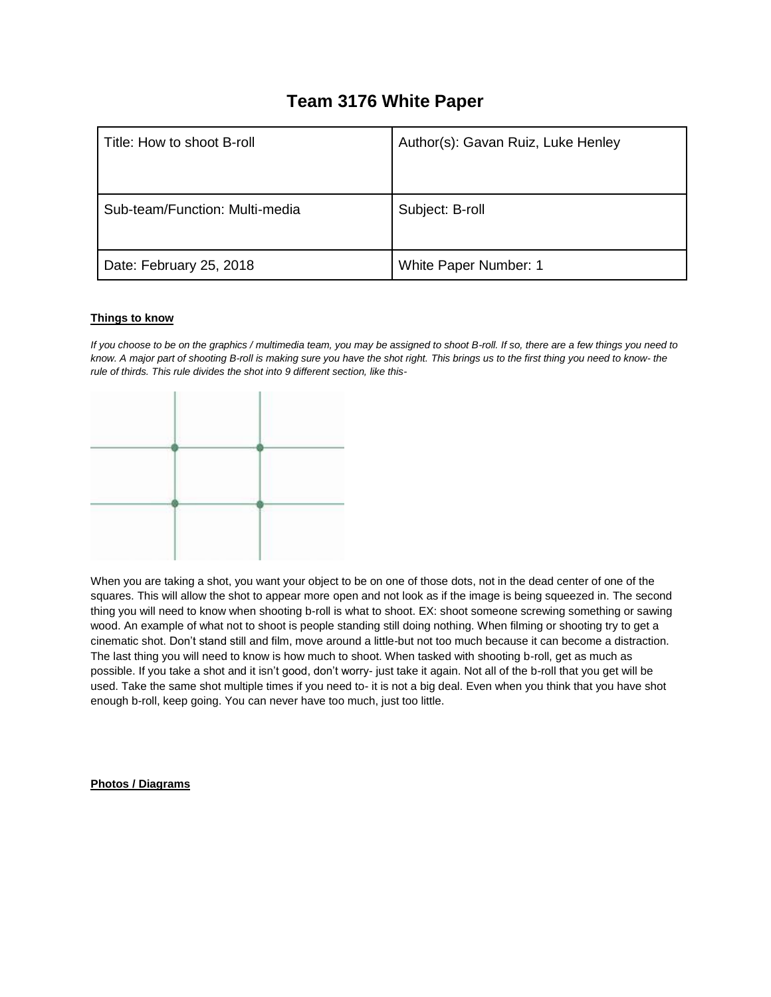## **Team 3176 White Paper**

| Title: How to shoot B-roll     | Author(s): Gavan Ruiz, Luke Henley |
|--------------------------------|------------------------------------|
| Sub-team/Function: Multi-media | Subject: B-roll                    |
| Date: February 25, 2018        | White Paper Number: 1              |

## **Things to know**

*If you choose to be on the graphics / multimedia team, you may be assigned to shoot B-roll. If so, there are a few things you need to know. A major part of shooting B-roll is making sure you have the shot right. This brings us to the first thing you need to know- the rule of thirds. This rule divides the shot into 9 different section, like this-*

| v |  |
|---|--|

 $\sim$ 

 $\sim$ 

When you are taking a shot, you want your object to be on one of those dots, not in the dead center of one of the squares. This will allow the shot to appear more open and not look as if the image is being squeezed in. The second thing you will need to know when shooting b-roll is what to shoot. EX: shoot someone screwing something or sawing wood. An example of what not to shoot is people standing still doing nothing. When filming or shooting try to get a cinematic shot. Don't stand still and film, move around a little-but not too much because it can become a distraction. The last thing you will need to know is how much to shoot. When tasked with shooting b-roll, get as much as possible. If you take a shot and it isn't good, don't worry- just take it again. Not all of the b-roll that you get will be used. Take the same shot multiple times if you need to- it is not a big deal. Even when you think that you have shot enough b-roll, keep going. You can never have too much, just too little.

## **Photos / Diagrams**